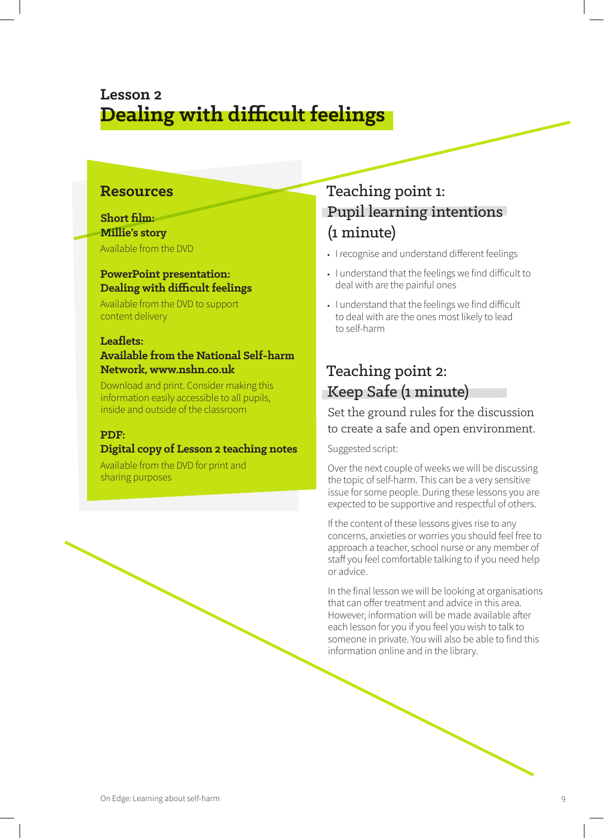# **Lesson 2 Dealing with difficult feelings**

### **Resources**

### **Short film: Millie's story**

Available from the DVD

### **PowerPoint presentation: Dealing with difficult feelings**

Available from the DVD to support content delivery

### **Leaflets:**

### **Available from the National Self-harm Network, www.nshn.co.uk**

Download and print. Consider making this information easily accessible to all pupils, inside and outside of the classroom

### **PDF:**

### **Digital copy of Lesson 2 teaching notes**

Available from the DVD for print and sharing purposes

# Teaching point 1: Pupil learning intentions (1 minute)

- **•** I recognise and understand different feelings
- **•** I understand that the feelings we find difficult to deal with are the painful ones
- **•** I understand that the feelings we find difficult to deal with are the ones most likely to lead to self-harm

## Teaching point 2: Keep Safe (1 minute)

Set the ground rules for the discussion to create a safe and open environment.

### Suggested script:

Over the next couple of weeks we will be discussing the topic of self-harm. This can be a very sensitive issue for some people. During these lessons you are expected to be supportive and respectful of others.

If the content of these lessons gives rise to any concerns, anxieties or worries you should feel free to approach a teacher, school nurse or any member of staff you feel comfortable talking to if you need help or advice.

In the final lesson we will be looking at organisations that can offer treatment and advice in this area. However, information will be made available after each lesson for you if you feel you wish to talk to someone in private. You will also be able to find this information online and in the library.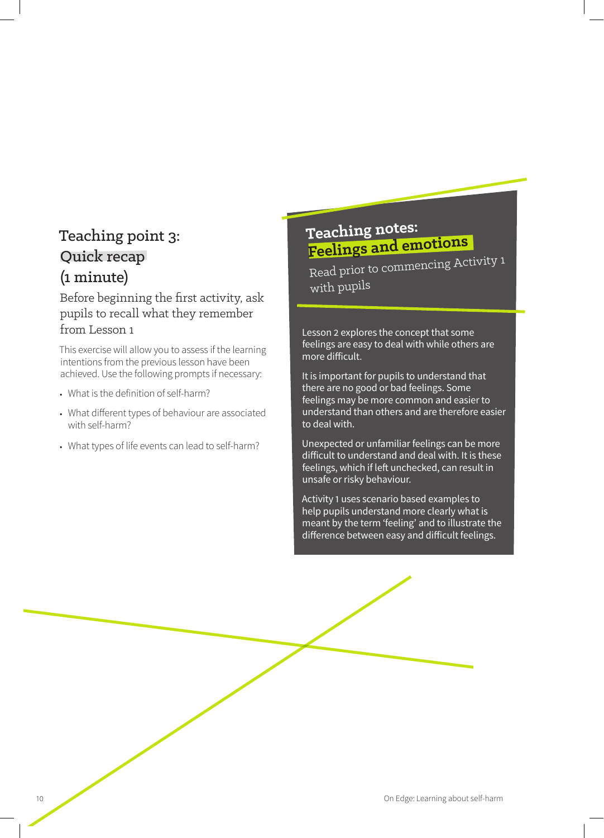# Teaching point 3: Quick recap (1 minute)

### Before beginning the first activity, ask pupils to recall what they remember from Lesson 1

This exercise will allow you to assess if the learning intentions from the previous lesson have been achieved. Use the following prompts if necessary:

- **•** What is the definition of self-harm?
- **•** What different types of behaviour are associated with self-harm?
- **•** What types of life events can lead to self-harm?

# **Teaching notes: Feelings and emotions**

Read prior to commencing Activity 1 with pupils

Lesson 2 explores the concept that some feelings are easy to deal with while others are more difficult.

It is important for pupils to understand that there are no good or bad feelings. Some feelings may be more common and easier to understand than others and are therefore easier to deal with.

Unexpected or unfamiliar feelings can be more difficult to understand and deal with. It is these feelings, which if left unchecked, can result in unsafe or risky behaviour.

Activity 1 uses scenario based examples to help pupils understand more clearly what is meant by the term 'feeling' and to illustrate the difference between easy and difficult feelings.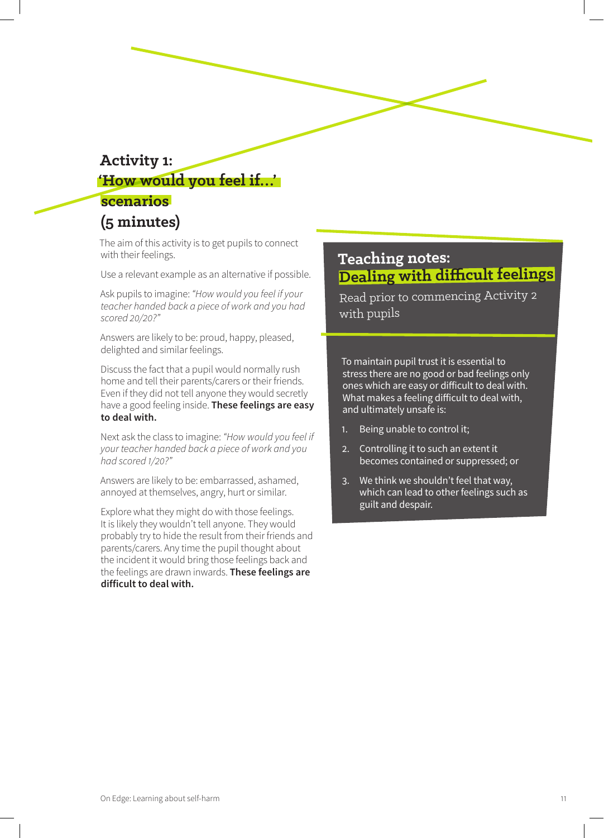## **Activity 1: 'How would you feel if…'**

## **scenarios (5 minutes)**

The aim of this activity is to get pupils to connect with their feelings.

Use a relevant example as an alternative if possible.

Ask pupils to imagine: *"How would you feel if your teacher handed back a piece of work and you had scored 20/20?"*

Answers are likely to be: proud, happy, pleased, delighted and similar feelings.

Discuss the fact that a pupil would normally rush home and tell their parents/carers or their friends. Even if they did not tell anyone they would secretly have a good feeling inside. **These feelings are easy to deal with.**

Next ask the class to imagine: *"How would you feel if your teacher handed back a piece of work and you had scored 1/20?"*

Answers are likely to be: embarrassed, ashamed, annoyed at themselves, angry, hurt or similar.

Explore what they might do with those feelings. It is likely they wouldn't tell anyone. They would probably try to hide the result from their friends and parents/carers. Any time the pupil thought about the incident it would bring those feelings back and the feelings are drawn inwards. **These feelings are difficult to deal with.**

## **Teaching notes: Dealing with difficult feelings**

Read prior to commencing Activity 2 with pupils

To maintain pupil trust it is essential to stress there are no good or bad feelings only ones which are easy or difficult to deal with. What makes a feeling difficult to deal with, and ultimately unsafe is:

- 1. Being unable to control it;
- 2. Controlling it to such an extent it becomes contained or suppressed; or
- 3. We think we shouldn't feel that way, which can lead to other feelings such as guilt and despair.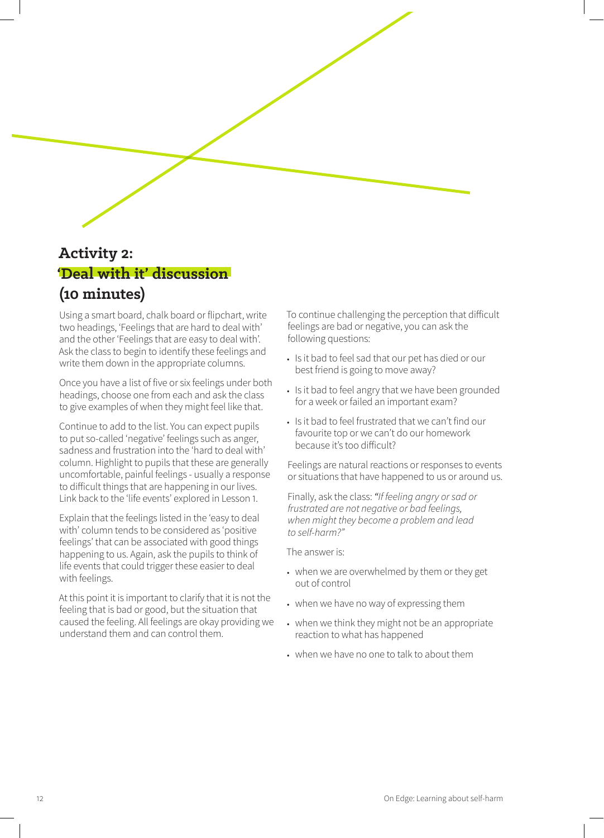

# **Activity 2: 'Deal with it' discussion (10 minutes)**

Using a smart board, chalk board or flipchart, write two headings, 'Feelings that are hard to deal with' and the other 'Feelings that are easy to deal with'. Ask the class to begin to identify these feelings and write them down in the appropriate columns.

Once you have a list of five or six feelings under both headings, choose one from each and ask the class to give examples of when they might feel like that.

Continue to add to the list. You can expect pupils to put so-called 'negative' feelings such as anger, sadness and frustration into the 'hard to deal with' column. Highlight to pupils that these are generally uncomfortable, painful feelings - usually a response to difficult things that are happening in our lives. Link back to the 'life events' explored in Lesson 1.

Explain that the feelings listed in the 'easy to deal with' column tends to be considered as 'positive feelings' that can be associated with good things happening to us. Again, ask the pupils to think of life events that could trigger these easier to deal with feelings.

At this point it is important to clarify that it is not the feeling that is bad or good, but the situation that caused the feeling. All feelings are okay providing we understand them and can control them.

To continue challenging the perception that difficult feelings are bad or negative, you can ask the following questions:

- **•** Is it bad to feel sad that our pet has died or our best friend is going to move away?
- **•** Is it bad to feel angry that we have been grounded for a week or failed an important exam?
- **•** Is it bad to feel frustrated that we can't find our favourite top or we can't do our homework because it's too difficult?

Feelings are natural reactions or responses to events or situations that have happened to us or around us.

Finally, ask the class: *"If feeling angry or sad or frustrated are not negative or bad feelings, when might they become a problem and lead to self-harm?"*

The answer is:

- **•** when we are overwhelmed by them or they get out of control
- **•** when we have no way of expressing them
- **•** when we think they might not be an appropriate reaction to what has happened
- **•** when we have no one to talk to about them